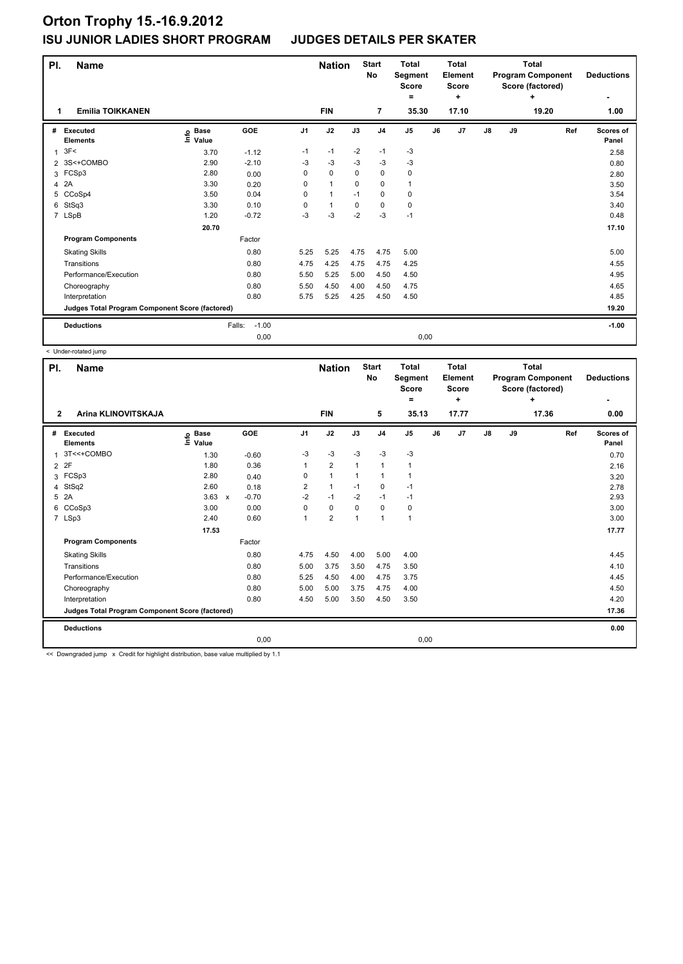| PI.            | <b>Name</b>                                     |                              |                   |                | <b>Nation</b> |          | <b>Start</b><br>No | <b>Total</b><br>Segment<br><b>Score</b><br>= |    | <b>Total</b><br>Element<br><b>Score</b><br>÷ |               |    | <b>Total</b><br><b>Program Component</b><br>Score (factored)<br>٠ | <b>Deductions</b>  |
|----------------|-------------------------------------------------|------------------------------|-------------------|----------------|---------------|----------|--------------------|----------------------------------------------|----|----------------------------------------------|---------------|----|-------------------------------------------------------------------|--------------------|
| 1              | <b>Emilia TOIKKANEN</b>                         |                              |                   |                | <b>FIN</b>    |          | $\overline{7}$     | 35.30                                        |    | 17.10                                        |               |    | 19.20                                                             | 1.00               |
| #              | Executed<br><b>Elements</b>                     | <b>Base</b><br>lnfo<br>Value | GOE               | J <sub>1</sub> | J2            | J3       | J <sub>4</sub>     | J <sub>5</sub>                               | J6 | J <sub>7</sub>                               | $\mathsf{J}8$ | J9 | Ref                                                               | Scores of<br>Panel |
| $\overline{1}$ | 3F<                                             | 3.70                         | $-1.12$           | $-1$           | $-1$          | $-2$     | $-1$               | $-3$                                         |    |                                              |               |    |                                                                   | 2.58               |
| $\overline{2}$ | 3S<+COMBO                                       | 2.90                         | $-2.10$           | -3             | $-3$          | -3       | -3                 | -3                                           |    |                                              |               |    |                                                                   | 0.80               |
| 3              | FCSp3                                           | 2.80                         | 0.00              | $\Omega$       | $\Omega$      | $\Omega$ | $\mathbf 0$        | $\pmb{0}$                                    |    |                                              |               |    |                                                                   | 2.80               |
| 4              | 2A                                              | 3.30                         | 0.20              | $\Omega$       | $\mathbf{1}$  | $\Omega$ | $\mathbf 0$        | $\mathbf{1}$                                 |    |                                              |               |    |                                                                   | 3.50               |
| 5              | CCoSp4                                          | 3.50                         | 0.04              | 0              | $\mathbf{1}$  | $-1$     | $\mathbf 0$        | 0                                            |    |                                              |               |    |                                                                   | 3.54               |
| 6              | StSq3                                           | 3.30                         | 0.10              | $\Omega$       | $\mathbf{1}$  | 0        | $\mathbf 0$        | 0                                            |    |                                              |               |    |                                                                   | 3.40               |
|                | 7 LSpB                                          | 1.20                         | $-0.72$           | $-3$           | $-3$          | $-2$     | $-3$               | $-1$                                         |    |                                              |               |    |                                                                   | 0.48               |
|                |                                                 | 20.70                        |                   |                |               |          |                    |                                              |    |                                              |               |    |                                                                   | 17.10              |
|                | <b>Program Components</b>                       |                              | Factor            |                |               |          |                    |                                              |    |                                              |               |    |                                                                   |                    |
|                | <b>Skating Skills</b>                           |                              | 0.80              | 5.25           | 5.25          | 4.75     | 4.75               | 5.00                                         |    |                                              |               |    |                                                                   | 5.00               |
|                | Transitions                                     |                              | 0.80              | 4.75           | 4.25          | 4.75     | 4.75               | 4.25                                         |    |                                              |               |    |                                                                   | 4.55               |
|                | Performance/Execution                           |                              | 0.80              | 5.50           | 5.25          | 5.00     | 4.50               | 4.50                                         |    |                                              |               |    |                                                                   | 4.95               |
|                | Choreography                                    |                              | 0.80              | 5.50           | 4.50          | 4.00     | 4.50               | 4.75                                         |    |                                              |               |    |                                                                   | 4.65               |
|                | Interpretation                                  |                              | 0.80              | 5.75           | 5.25          | 4.25     | 4.50               | 4.50                                         |    |                                              |               |    |                                                                   | 4.85               |
|                | Judges Total Program Component Score (factored) |                              |                   |                |               |          |                    |                                              |    |                                              |               |    |                                                                   | 19.20              |
|                | <b>Deductions</b>                               |                              | $-1.00$<br>Falls: |                |               |          |                    |                                              |    |                                              |               |    |                                                                   | $-1.00$            |
|                |                                                 |                              | 0,00              |                |               |          |                    | 0,00                                         |    |                                              |               |    |                                                                   |                    |

< Under-rotated jump

| PI.            | <b>Name</b>                                     |                            |                         |                | <b>Nation</b>  |                | <b>Start</b><br><b>No</b> | <b>Total</b><br>Segment<br><b>Score</b><br>= |    | <b>Total</b><br>Element<br><b>Score</b><br>٠ |               |    | <b>Total</b><br><b>Program Component</b><br>Score (factored)<br>÷ | <b>Deductions</b><br>٠ |
|----------------|-------------------------------------------------|----------------------------|-------------------------|----------------|----------------|----------------|---------------------------|----------------------------------------------|----|----------------------------------------------|---------------|----|-------------------------------------------------------------------|------------------------|
| $\mathbf{2}$   | Arina KLINOVITSKAJA                             |                            |                         |                | <b>FIN</b>     |                | 5                         | 35.13                                        |    | 17.77                                        |               |    | 17.36                                                             | 0.00                   |
| #              | Executed<br><b>Elements</b>                     | <b>Base</b><br>۴ů<br>Value | GOE                     | J <sub>1</sub> | J2             | J3             | J <sub>4</sub>            | J5                                           | J6 | J <sub>7</sub>                               | $\mathsf{J}8$ | J9 | Ref                                                               | Scores of<br>Panel     |
| $\overline{1}$ | 3T<<+COMBO                                      | 1.30                       | $-0.60$                 | -3             | $-3$           | $-3$           | $-3$                      | $-3$                                         |    |                                              |               |    |                                                                   | 0.70                   |
| $\overline{2}$ | 2F                                              | 1.80                       | 0.36                    |                | $\overline{2}$ | $\overline{1}$ | $\mathbf{1}$              | $\mathbf{1}$                                 |    |                                              |               |    |                                                                   | 2.16                   |
| 3              | FCSp3                                           | 2.80                       | 0.40                    | 0              | $\overline{1}$ | -1             | $\mathbf 1$               | $\mathbf 1$                                  |    |                                              |               |    |                                                                   | 3.20                   |
| 4              | StSq2                                           | 2.60                       | 0.18                    | $\overline{2}$ | $\mathbf{1}$   | $-1$           | $\mathbf 0$               | $-1$                                         |    |                                              |               |    |                                                                   | 2.78                   |
| 5              | 2A                                              | 3.63                       | $-0.70$<br>$\mathsf{x}$ | $-2$           | $-1$           | $-2$           | $-1$                      | $-1$                                         |    |                                              |               |    |                                                                   | 2.93                   |
| 6              | CCoSp3                                          | 3.00                       | 0.00                    | 0              | $\mathbf 0$    | $\mathbf 0$    | $\mathbf 0$               | $\pmb{0}$                                    |    |                                              |               |    |                                                                   | 3.00                   |
|                | 7 LSp3                                          | 2.40                       | 0.60                    | 1              | $\overline{2}$ | 1              | $\overline{1}$            | $\mathbf{1}$                                 |    |                                              |               |    |                                                                   | 3.00                   |
|                |                                                 | 17.53                      |                         |                |                |                |                           |                                              |    |                                              |               |    |                                                                   | 17.77                  |
|                | <b>Program Components</b>                       |                            | Factor                  |                |                |                |                           |                                              |    |                                              |               |    |                                                                   |                        |
|                | <b>Skating Skills</b>                           |                            | 0.80                    | 4.75           | 4.50           | 4.00           | 5.00                      | 4.00                                         |    |                                              |               |    |                                                                   | 4.45                   |
|                | Transitions                                     |                            | 0.80                    | 5.00           | 3.75           | 3.50           | 4.75                      | 3.50                                         |    |                                              |               |    |                                                                   | 4.10                   |
|                | Performance/Execution                           |                            | 0.80                    | 5.25           | 4.50           | 4.00           | 4.75                      | 3.75                                         |    |                                              |               |    |                                                                   | 4.45                   |
|                | Choreography                                    |                            | 0.80                    | 5.00           | 5.00           | 3.75           | 4.75                      | 4.00                                         |    |                                              |               |    |                                                                   | 4.50                   |
|                | Interpretation                                  |                            | 0.80                    | 4.50           | 5.00           | 3.50           | 4.50                      | 3.50                                         |    |                                              |               |    |                                                                   | 4.20                   |
|                | Judges Total Program Component Score (factored) |                            |                         |                |                |                |                           |                                              |    |                                              |               |    |                                                                   | 17.36                  |
|                | <b>Deductions</b>                               |                            |                         |                |                |                |                           |                                              |    |                                              |               |    |                                                                   | 0.00                   |
|                |                                                 |                            | 0,00                    |                |                |                |                           | 0,00                                         |    |                                              |               |    |                                                                   |                        |

<< Downgraded jump x Credit for highlight distribution, base value multiplied by 1.1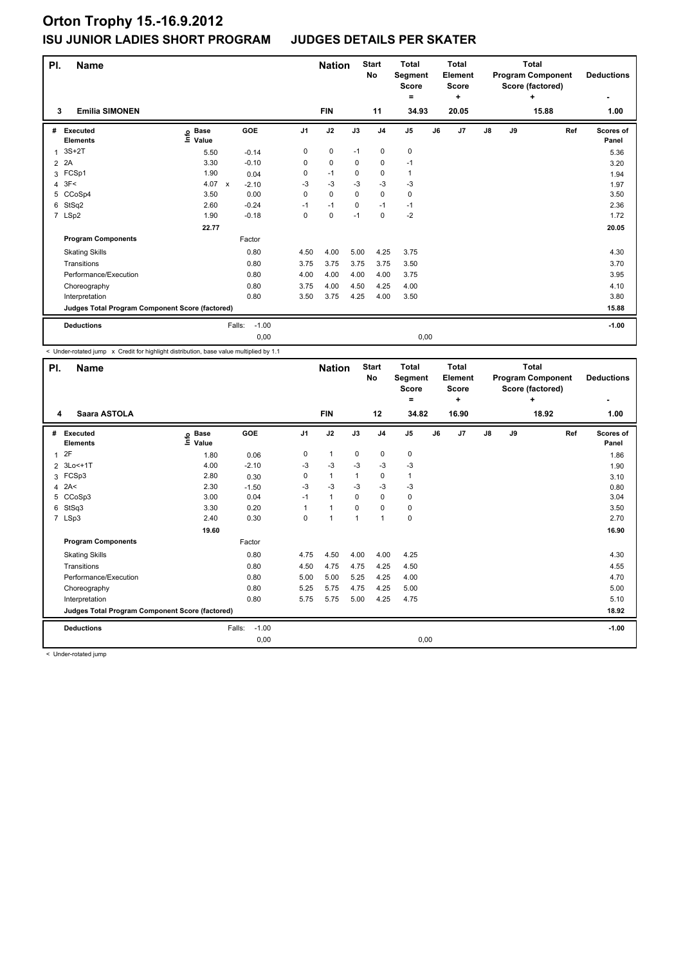| PI. | <b>Name</b>                                     |                            |                         |                | <b>Nation</b> |             | <b>Start</b><br><b>No</b> | <b>Total</b><br>Segment<br><b>Score</b><br>Ξ. |      | <b>Total</b><br>Element<br><b>Score</b><br>÷ |               |    | <b>Total</b><br><b>Program Component</b><br>Score (factored)<br>÷ | <b>Deductions</b>  |
|-----|-------------------------------------------------|----------------------------|-------------------------|----------------|---------------|-------------|---------------------------|-----------------------------------------------|------|----------------------------------------------|---------------|----|-------------------------------------------------------------------|--------------------|
| 3   | <b>Emilia SIMONEN</b>                           |                            |                         |                | <b>FIN</b>    |             | 11                        | 34.93                                         |      | 20.05                                        |               |    | 15.88                                                             | 1.00               |
| #   | Executed<br><b>Elements</b>                     | e Base<br>E Value<br>Value | GOE                     | J <sub>1</sub> | J2            | J3          | J <sub>4</sub>            | J5                                            | J6   | J <sub>7</sub>                               | $\mathsf{J}8$ | J9 | Ref                                                               | Scores of<br>Panel |
| 1   | $3S+2T$                                         | 5.50                       | $-0.14$                 | 0              | $\pmb{0}$     | $-1$        | $\pmb{0}$                 | 0                                             |      |                                              |               |    |                                                                   | 5.36               |
| 2   | 2A                                              | 3.30                       | $-0.10$                 | 0              | $\pmb{0}$     | 0           | 0                         | $-1$                                          |      |                                              |               |    |                                                                   | 3.20               |
| 3   | FCSp1                                           | 1.90                       | 0.04                    | 0              | $-1$          | $\mathbf 0$ | 0                         | $\mathbf{1}$                                  |      |                                              |               |    |                                                                   | 1.94               |
| 4   | 3F<                                             | 4.07                       | $\mathsf{x}$<br>$-2.10$ | $-3$           | $-3$          | $-3$        | $-3$                      | $-3$                                          |      |                                              |               |    |                                                                   | 1.97               |
| 5   | CCoSp4                                          | 3.50                       | 0.00                    | 0              | $\mathbf 0$   | $\mathbf 0$ | 0                         | $\pmb{0}$                                     |      |                                              |               |    |                                                                   | 3.50               |
| 6   | StSq2                                           | 2.60                       | $-0.24$                 | $-1$           | $-1$          | $\Omega$    | $-1$                      | $-1$                                          |      |                                              |               |    |                                                                   | 2.36               |
|     | 7 LSp2                                          | 1.90                       | $-0.18$                 | 0              | $\mathbf 0$   | $-1$        | $\mathbf 0$               | $-2$                                          |      |                                              |               |    |                                                                   | 1.72               |
|     |                                                 | 22.77                      |                         |                |               |             |                           |                                               |      |                                              |               |    |                                                                   | 20.05              |
|     | <b>Program Components</b>                       |                            | Factor                  |                |               |             |                           |                                               |      |                                              |               |    |                                                                   |                    |
|     | <b>Skating Skills</b>                           |                            | 0.80                    | 4.50           | 4.00          | 5.00        | 4.25                      | 3.75                                          |      |                                              |               |    |                                                                   | 4.30               |
|     | Transitions                                     |                            | 0.80                    | 3.75           | 3.75          | 3.75        | 3.75                      | 3.50                                          |      |                                              |               |    |                                                                   | 3.70               |
|     | Performance/Execution                           |                            | 0.80                    | 4.00           | 4.00          | 4.00        | 4.00                      | 3.75                                          |      |                                              |               |    |                                                                   | 3.95               |
|     | Choreography                                    |                            | 0.80                    | 3.75           | 4.00          | 4.50        | 4.25                      | 4.00                                          |      |                                              |               |    |                                                                   | 4.10               |
|     | Interpretation                                  |                            | 0.80                    | 3.50           | 3.75          | 4.25        | 4.00                      | 3.50                                          |      |                                              |               |    |                                                                   | 3.80               |
|     | Judges Total Program Component Score (factored) |                            |                         |                |               |             |                           |                                               |      |                                              |               |    |                                                                   | 15.88              |
|     | <b>Deductions</b>                               |                            | Falls:                  | $-1.00$        |               |             |                           |                                               |      |                                              |               |    |                                                                   | $-1.00$            |
|     |                                                 |                            |                         | 0,00           |               |             |                           |                                               | 0,00 |                                              |               |    |                                                                   |                    |

< Under-rotated jump x Credit for highlight distribution, base value multiplied by 1.1

| PI.                     | <b>Name</b>                                     | Saara ASTOLA                 |                   |                | <b>Nation</b>  |          | <b>Start</b><br>No | <b>Total</b><br>Segment<br>Score<br>۰ |    | Total<br><b>Element</b><br><b>Score</b><br>÷ |            |    | <b>Total</b><br><b>Program Component</b><br>Score (factored)<br>÷ | <b>Deductions</b><br>٠ |
|-------------------------|-------------------------------------------------|------------------------------|-------------------|----------------|----------------|----------|--------------------|---------------------------------------|----|----------------------------------------------|------------|----|-------------------------------------------------------------------|------------------------|
| 4                       |                                                 |                              |                   |                | <b>FIN</b>     |          | 12                 | 34.82                                 |    | 16.90                                        |            |    | 18.92                                                             | 1.00                   |
| #                       | Executed<br><b>Elements</b>                     | <b>Base</b><br>١nfo<br>Value | GOE               | J <sub>1</sub> | J2             | J3       | J <sub>4</sub>     | J <sub>5</sub>                        | J6 | J7                                           | ${\sf J8}$ | J9 | Ref                                                               | Scores of<br>Panel     |
| $\overline{1}$          | 2F                                              | 1.80                         | 0.06              | 0              | $\mathbf{1}$   | 0        | $\mathbf 0$        | 0                                     |    |                                              |            |    |                                                                   | 1.86                   |
|                         | 2 3Lo<+1T                                       | 4.00                         | $-2.10$           | -3             | $-3$           | $-3$     | $-3$               | $-3$                                  |    |                                              |            |    |                                                                   | 1.90                   |
| 3                       | FCSp3                                           | 2.80                         | 0.30              | 0              | $\mathbf{1}$   | 1        | 0                  | 1                                     |    |                                              |            |    |                                                                   | 3.10                   |
| $\overline{\mathbf{4}}$ | 2A<                                             | 2.30                         | $-1.50$           | $-3$           | $-3$           | $-3$     | $-3$               | $-3$                                  |    |                                              |            |    |                                                                   | 0.80                   |
| 5                       | CCoSp3                                          | 3.00                         | 0.04              | $-1$           | $\mathbf{1}$   | $\Omega$ | $\mathbf 0$        | 0                                     |    |                                              |            |    |                                                                   | 3.04                   |
| 6                       | StSq3                                           | 3.30                         | 0.20              | 1              | 1              | 0        | $\mathbf 0$        | 0                                     |    |                                              |            |    |                                                                   | 3.50                   |
|                         | 7 LSp3                                          | 2.40                         | 0.30              | 0              | $\overline{1}$ | 1        | $\mathbf{1}$       | $\mathbf 0$                           |    |                                              |            |    |                                                                   | 2.70                   |
|                         |                                                 | 19.60                        |                   |                |                |          |                    |                                       |    |                                              |            |    |                                                                   | 16.90                  |
|                         | <b>Program Components</b>                       |                              | Factor            |                |                |          |                    |                                       |    |                                              |            |    |                                                                   |                        |
|                         | <b>Skating Skills</b>                           |                              | 0.80              | 4.75           | 4.50           | 4.00     | 4.00               | 4.25                                  |    |                                              |            |    |                                                                   | 4.30                   |
|                         | Transitions                                     |                              | 0.80              | 4.50           | 4.75           | 4.75     | 4.25               | 4.50                                  |    |                                              |            |    |                                                                   | 4.55                   |
|                         | Performance/Execution                           |                              | 0.80              | 5.00           | 5.00           | 5.25     | 4.25               | 4.00                                  |    |                                              |            |    |                                                                   | 4.70                   |
|                         | Choreography                                    |                              | 0.80              | 5.25           | 5.75           | 4.75     | 4.25               | 5.00                                  |    |                                              |            |    |                                                                   | 5.00                   |
|                         | Interpretation                                  |                              | 0.80              | 5.75           | 5.75           | 5.00     | 4.25               | 4.75                                  |    |                                              |            |    |                                                                   | 5.10                   |
|                         | Judges Total Program Component Score (factored) |                              |                   |                |                |          |                    |                                       |    |                                              |            |    |                                                                   | 18.92                  |
|                         | <b>Deductions</b>                               |                              | $-1.00$<br>Falls: |                |                |          |                    |                                       |    |                                              |            |    |                                                                   | $-1.00$                |
|                         |                                                 |                              | 0,00              |                |                |          |                    | 0,00                                  |    |                                              |            |    |                                                                   |                        |

< Under-rotated jump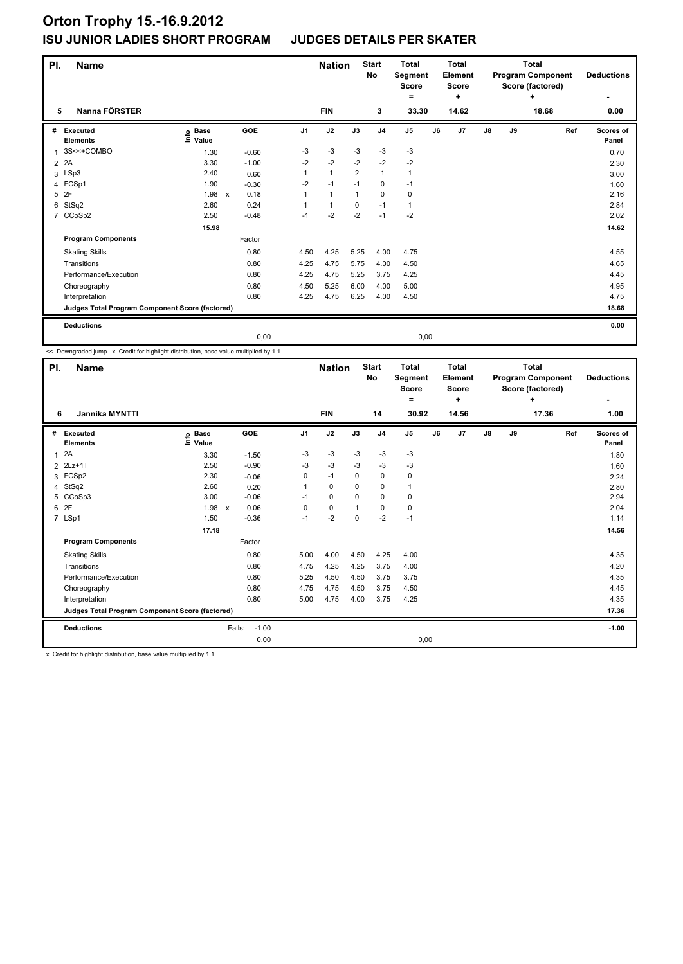| PI.            | <b>Name</b>                                     |                                                                  |                      |                | <b>Nation</b> |                | <b>Start</b><br>No | <b>Total</b><br>Segment<br><b>Score</b><br>Ξ. |    | <b>Total</b><br><b>Element</b><br><b>Score</b><br>÷ |               |    | <b>Total</b><br><b>Program Component</b><br>Score (factored)<br>٠ | <b>Deductions</b>  |
|----------------|-------------------------------------------------|------------------------------------------------------------------|----------------------|----------------|---------------|----------------|--------------------|-----------------------------------------------|----|-----------------------------------------------------|---------------|----|-------------------------------------------------------------------|--------------------|
| 5              | Nanna FÖRSTER                                   |                                                                  |                      |                | <b>FIN</b>    |                | 3                  | 33.30                                         |    | 14.62                                               |               |    | 18.68                                                             | 0.00               |
| #              | Executed<br><b>Elements</b>                     | $\overset{\circ}{=}$ Base<br>$\overset{\circ}{=}$ Value<br>Value | <b>GOE</b>           | J <sub>1</sub> | J2            | J3             | J <sub>4</sub>     | J <sub>5</sub>                                | J6 | J7                                                  | $\mathsf{J}8$ | J9 | Ref                                                               | Scores of<br>Panel |
| $\overline{1}$ | 3S<<+COMBO                                      | 1.30                                                             | $-0.60$              | -3             | $-3$          | $-3$           | $-3$               | $-3$                                          |    |                                                     |               |    |                                                                   | 0.70               |
| $\overline{2}$ | 2A                                              | 3.30                                                             | $-1.00$              | $-2$           | $-2$          | $-2$           | $-2$               | $-2$                                          |    |                                                     |               |    |                                                                   | 2.30               |
|                | 3 LSp3                                          | 2.40                                                             | 0.60                 | 1              | $\mathbf{1}$  | $\overline{2}$ | $\mathbf{1}$       | $\mathbf{1}$                                  |    |                                                     |               |    |                                                                   | 3.00               |
| 4              | FCSp1                                           | 1.90                                                             | $-0.30$              | $-2$           | $-1$          | $-1$           | $\mathbf 0$        | $-1$                                          |    |                                                     |               |    |                                                                   | 1.60               |
| 5              | 2F                                              | 1.98                                                             | 0.18<br>$\mathsf{x}$ | 1              | $\mathbf{1}$  | $\mathbf{1}$   | $\mathbf 0$        | 0                                             |    |                                                     |               |    |                                                                   | 2.16               |
| 6              | StSq2                                           | 2.60                                                             | 0.24                 |                | $\mathbf{1}$  | $\mathbf 0$    | $-1$               | $\mathbf{1}$                                  |    |                                                     |               |    |                                                                   | 2.84               |
| $\overline{7}$ | CCoSp2                                          | 2.50                                                             | $-0.48$              | $-1$           | $-2$          | $-2$           | $-1$               | $-2$                                          |    |                                                     |               |    |                                                                   | 2.02               |
|                |                                                 | 15.98                                                            |                      |                |               |                |                    |                                               |    |                                                     |               |    |                                                                   | 14.62              |
|                | <b>Program Components</b>                       |                                                                  | Factor               |                |               |                |                    |                                               |    |                                                     |               |    |                                                                   |                    |
|                | <b>Skating Skills</b>                           |                                                                  | 0.80                 | 4.50           | 4.25          | 5.25           | 4.00               | 4.75                                          |    |                                                     |               |    |                                                                   | 4.55               |
|                | Transitions                                     |                                                                  | 0.80                 | 4.25           | 4.75          | 5.75           | 4.00               | 4.50                                          |    |                                                     |               |    |                                                                   | 4.65               |
|                | Performance/Execution                           |                                                                  | 0.80                 | 4.25           | 4.75          | 5.25           | 3.75               | 4.25                                          |    |                                                     |               |    |                                                                   | 4.45               |
|                | Choreography                                    |                                                                  | 0.80                 | 4.50           | 5.25          | 6.00           | 4.00               | 5.00                                          |    |                                                     |               |    |                                                                   | 4.95               |
|                | Interpretation                                  |                                                                  | 0.80                 | 4.25           | 4.75          | 6.25           | 4.00               | 4.50                                          |    |                                                     |               |    |                                                                   | 4.75               |
|                | Judges Total Program Component Score (factored) |                                                                  |                      |                |               |                |                    |                                               |    |                                                     |               |    |                                                                   | 18.68              |
|                | <b>Deductions</b>                               |                                                                  |                      |                |               |                |                    |                                               |    |                                                     |               |    |                                                                   | 0.00               |
|                |                                                 |                                                                  | 0,00                 |                |               |                |                    | 0,00                                          |    |                                                     |               |    |                                                                   |                    |

<< Downgraded jump x Credit for highlight distribution, base value multiplied by 1.1

| PI.            | <b>Name</b>                                     |                            |                                   |                | <b>Nation</b> |             | <b>Start</b><br>No | <b>Total</b><br>Segment<br><b>Score</b><br>۰ |    | <b>Total</b><br>Element<br><b>Score</b><br>÷ |               |    | <b>Total</b><br><b>Program Component</b><br>Score (factored)<br>÷ | <b>Deductions</b><br>٠ |
|----------------|-------------------------------------------------|----------------------------|-----------------------------------|----------------|---------------|-------------|--------------------|----------------------------------------------|----|----------------------------------------------|---------------|----|-------------------------------------------------------------------|------------------------|
| 6              | <b>Jannika MYNTTI</b>                           |                            |                                   |                | <b>FIN</b>    |             | 14                 | 30.92                                        |    | 14.56                                        |               |    | 17.36                                                             | 1.00                   |
| #              | Executed<br><b>Elements</b>                     | <b>Base</b><br>۴ů<br>Value | GOE                               | J <sub>1</sub> | J2            | J3          | J <sub>4</sub>     | J <sub>5</sub>                               | J6 | J7                                           | $\mathsf{J}8$ | J9 | Ref                                                               | Scores of<br>Panel     |
| $\mathbf{1}$   | 2A                                              | 3.30                       | $-1.50$                           | $-3$           | $-3$          | $-3$        | $-3$               | -3                                           |    |                                              |               |    |                                                                   | 1.80                   |
|                | 2 2Lz+1T                                        | 2.50                       | $-0.90$                           | $-3$           | $-3$          | $-3$        | $-3$               | $-3$                                         |    |                                              |               |    |                                                                   | 1.60                   |
|                | 3 FCSp2                                         | 2.30                       | $-0.06$                           | 0              | $-1$          | $\mathbf 0$ | $\mathbf 0$        | $\pmb{0}$                                    |    |                                              |               |    |                                                                   | 2.24                   |
| $\overline{4}$ | StSq2                                           | 2.60                       | 0.20                              | 1              | 0             | 0           | 0                  | $\mathbf{1}$                                 |    |                                              |               |    |                                                                   | 2.80                   |
|                | 5 CCoSp3                                        | 3.00                       | $-0.06$                           | $-1$           | 0             | 0           | 0                  | 0                                            |    |                                              |               |    |                                                                   | 2.94                   |
| 6              | 2F                                              | 1.98                       | 0.06<br>$\boldsymbol{\mathsf{x}}$ | 0              | $\mathbf 0$   |             | 0                  | 0                                            |    |                                              |               |    |                                                                   | 2.04                   |
|                | 7 LSp1                                          | 1.50                       | $-0.36$                           | $-1$           | $-2$          | 0           | $-2$               | $-1$                                         |    |                                              |               |    |                                                                   | 1.14                   |
|                |                                                 | 17.18                      |                                   |                |               |             |                    |                                              |    |                                              |               |    |                                                                   | 14.56                  |
|                | <b>Program Components</b>                       |                            | Factor                            |                |               |             |                    |                                              |    |                                              |               |    |                                                                   |                        |
|                | <b>Skating Skills</b>                           |                            | 0.80                              | 5.00           | 4.00          | 4.50        | 4.25               | 4.00                                         |    |                                              |               |    |                                                                   | 4.35                   |
|                | Transitions                                     |                            | 0.80                              | 4.75           | 4.25          | 4.25        | 3.75               | 4.00                                         |    |                                              |               |    |                                                                   | 4.20                   |
|                | Performance/Execution                           |                            | 0.80                              | 5.25           | 4.50          | 4.50        | 3.75               | 3.75                                         |    |                                              |               |    |                                                                   | 4.35                   |
|                | Choreography                                    |                            | 0.80                              | 4.75           | 4.75          | 4.50        | 3.75               | 4.50                                         |    |                                              |               |    |                                                                   | 4.45                   |
|                | Interpretation                                  |                            | 0.80                              | 5.00           | 4.75          | 4.00        | 3.75               | 4.25                                         |    |                                              |               |    |                                                                   | 4.35                   |
|                | Judges Total Program Component Score (factored) |                            |                                   |                |               |             |                    |                                              |    |                                              |               |    |                                                                   | 17.36                  |
|                | <b>Deductions</b>                               |                            | Falls:                            | $-1.00$        |               |             |                    |                                              |    |                                              |               |    |                                                                   | $-1.00$                |
|                |                                                 |                            |                                   | 0,00           |               |             |                    | 0,00                                         |    |                                              |               |    |                                                                   |                        |

x Credit for highlight distribution, base value multiplied by 1.1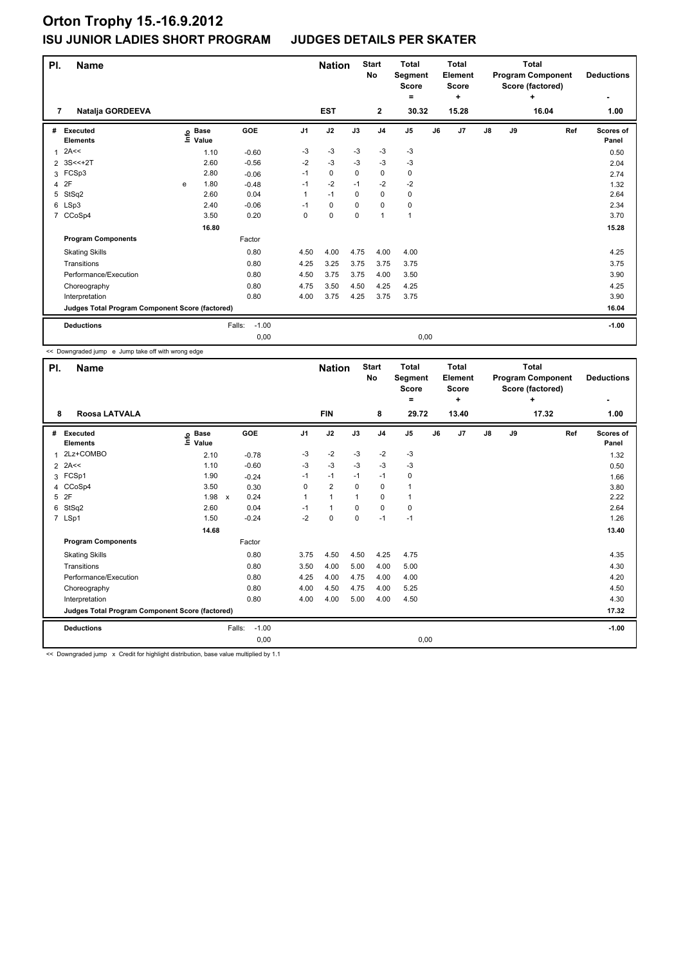| PI.                      | <b>Name</b>                                                       |   |                      |                               |                      | <b>Nation</b>              |                         | <b>Start</b><br><b>No</b>   | <b>Total</b><br>Segment<br><b>Score</b><br>۰ |    | <b>Total</b><br>Element<br><b>Score</b><br>÷ |               |    | <b>Total</b><br><b>Program Component</b><br>Score (factored)<br>÷ | <b>Deductions</b>    |
|--------------------------|-------------------------------------------------------------------|---|----------------------|-------------------------------|----------------------|----------------------------|-------------------------|-----------------------------|----------------------------------------------|----|----------------------------------------------|---------------|----|-------------------------------------------------------------------|----------------------|
| 7                        | Natalja GORDEEVA                                                  |   |                      |                               |                      | <b>EST</b>                 |                         | $\mathbf{2}$                | 30.32                                        |    | 15.28                                        |               |    | 16.04                                                             | 1.00                 |
| #                        | <b>Executed</b><br><b>Elements</b><br>2A<<                        |   | e Base<br>⊑ Value    | GOE                           | J <sub>1</sub><br>-3 | J2<br>$-3$                 | J3<br>$-3$              | J <sub>4</sub><br>$-3$      | J <sub>5</sub><br>$-3$                       | J6 | J7                                           | $\mathsf{J}8$ | J9 | Ref                                                               | Scores of<br>Panel   |
| 1<br>$\overline{2}$<br>3 | $3S < +2T$<br>FCSp3                                               |   | 1.10<br>2.60<br>2.80 | $-0.60$<br>$-0.56$<br>$-0.06$ | $-2$<br>$-1$         | -3<br>$\mathbf 0$          | $-3$<br>$\Omega$        | $-3$<br>$\mathbf 0$         | $-3$<br>0                                    |    |                                              |               |    |                                                                   | 0.50<br>2.04<br>2.74 |
| 4<br>5                   | 2F<br>StSq2                                                       | e | 1.80<br>2.60         | $-0.48$<br>0.04               | $-1$                 | $-2$<br>$-1$               | $-1$<br>0               | $-2$<br>$\pmb{0}$           | $-2$<br>0                                    |    |                                              |               |    |                                                                   | 1.32<br>2.64         |
|                          | 6 LSp3<br>7 CCoSp4                                                |   | 2.40<br>3.50         | $-0.06$<br>0.20               | $-1$<br>0            | $\mathbf 0$<br>$\mathbf 0$ | $\Omega$<br>$\mathbf 0$ | $\mathbf 0$<br>$\mathbf{1}$ | $\pmb{0}$<br>1                               |    |                                              |               |    |                                                                   | 2.34<br>3.70         |
|                          | <b>Program Components</b>                                         |   | 16.80                | Factor                        |                      |                            |                         |                             |                                              |    |                                              |               |    |                                                                   | 15.28                |
|                          | <b>Skating Skills</b><br>Transitions                              |   |                      | 0.80<br>0.80                  | 4.50<br>4.25         | 4.00<br>3.25               | 4.75<br>3.75            | 4.00<br>3.75                | 4.00<br>3.75                                 |    |                                              |               |    |                                                                   | 4.25<br>3.75         |
|                          | Performance/Execution<br>Choreography                             |   |                      | 0.80<br>0.80                  | 4.50<br>4.75         | 3.75<br>3.50               | 3.75<br>4.50            | 4.00<br>4.25                | 3.50<br>4.25                                 |    |                                              |               |    |                                                                   | 3.90<br>4.25         |
|                          | Interpretation<br>Judges Total Program Component Score (factored) |   |                      | 0.80                          | 4.00                 | 3.75                       | 4.25                    | 3.75                        | 3.75                                         |    |                                              |               |    |                                                                   | 3.90<br>16.04        |
|                          | <b>Deductions</b>                                                 |   |                      | $-1.00$<br>Falls:<br>0,00     |                      |                            |                         |                             | 0,00                                         |    |                                              |               |    |                                                                   | $-1.00$              |

<< Downgraded jump e Jump take off with wrong edge

| PI.            | <b>Name</b>                                     |                              |                      |                | <b>Nation</b>        |             | <b>Start</b><br>No | <b>Total</b><br>Segment<br><b>Score</b><br>= |    | <b>Total</b><br>Element<br><b>Score</b><br>÷ |    |    | <b>Total</b><br><b>Program Component</b><br>Score (factored)<br>÷ |     | <b>Deductions</b>  |
|----------------|-------------------------------------------------|------------------------------|----------------------|----------------|----------------------|-------------|--------------------|----------------------------------------------|----|----------------------------------------------|----|----|-------------------------------------------------------------------|-----|--------------------|
| 8              | <b>Roosa LATVALA</b>                            |                              |                      |                | <b>FIN</b>           |             | 8                  | 29.72                                        |    | 13.40                                        |    |    | 17.32                                                             |     | 1.00               |
| #              | <b>Executed</b><br><b>Elements</b>              | <b>Base</b><br>١nfo<br>Value | GOE                  | J <sub>1</sub> | J2                   | J3          | J <sub>4</sub>     | J <sub>5</sub>                               | J6 | J7                                           | J8 | J9 |                                                                   | Ref | Scores of<br>Panel |
|                | 2Lz+COMBO                                       | 2.10                         | $-0.78$              | -3             | $-2$                 | -3          | $-2$               | $-3$                                         |    |                                              |    |    |                                                                   |     | 1.32               |
| $\overline{2}$ | 2A<<                                            | 1.10                         | $-0.60$              | $-3$           | $-3$                 | $-3$        | $-3$               | $-3$                                         |    |                                              |    |    |                                                                   |     | 0.50               |
| 3              | FCSp1                                           | 1.90                         | $-0.24$              | $-1$           | $-1$                 | $-1$        | $-1$               | 0                                            |    |                                              |    |    |                                                                   |     | 1.66               |
| 4              | CCoSp4                                          | 3.50                         | 0.30                 | 0              | $\overline{2}$       | 0           | $\mathbf 0$        | 1                                            |    |                                              |    |    |                                                                   |     | 3.80               |
| 5              | 2F                                              | 1.98                         | 0.24<br>$\mathsf{x}$ |                | $\blacktriangleleft$ | $\mathbf 1$ | 0                  | 1                                            |    |                                              |    |    |                                                                   |     | 2.22               |
| 6              | StSq2                                           | 2.60                         | 0.04                 | $-1$           | $\mathbf{1}$         | $\Omega$    | $\mathbf 0$        | $\pmb{0}$                                    |    |                                              |    |    |                                                                   |     | 2.64               |
|                | 7 LSp1                                          | 1.50                         | $-0.24$              | $-2$           | $\mathbf 0$          | $\mathbf 0$ | $-1$               | $-1$                                         |    |                                              |    |    |                                                                   |     | 1.26               |
|                |                                                 | 14.68                        |                      |                |                      |             |                    |                                              |    |                                              |    |    |                                                                   |     | 13.40              |
|                | <b>Program Components</b>                       |                              | Factor               |                |                      |             |                    |                                              |    |                                              |    |    |                                                                   |     |                    |
|                | <b>Skating Skills</b>                           |                              | 0.80                 | 3.75           | 4.50                 | 4.50        | 4.25               | 4.75                                         |    |                                              |    |    |                                                                   |     | 4.35               |
|                | Transitions                                     |                              | 0.80                 | 3.50           | 4.00                 | 5.00        | 4.00               | 5.00                                         |    |                                              |    |    |                                                                   |     | 4.30               |
|                | Performance/Execution                           |                              | 0.80                 | 4.25           | 4.00                 | 4.75        | 4.00               | 4.00                                         |    |                                              |    |    |                                                                   |     | 4.20               |
|                | Choreography                                    |                              | 0.80                 | 4.00           | 4.50                 | 4.75        | 4.00               | 5.25                                         |    |                                              |    |    |                                                                   |     | 4.50               |
|                | Interpretation                                  |                              | 0.80                 | 4.00           | 4.00                 | 5.00        | 4.00               | 4.50                                         |    |                                              |    |    |                                                                   |     | 4.30               |
|                | Judges Total Program Component Score (factored) |                              |                      |                |                      |             |                    |                                              |    |                                              |    |    |                                                                   |     | 17.32              |
|                | <b>Deductions</b>                               |                              | $-1.00$<br>Falls:    |                |                      |             |                    |                                              |    |                                              |    |    |                                                                   |     | $-1.00$            |
|                |                                                 |                              | 0,00                 |                |                      |             |                    | 0,00                                         |    |                                              |    |    |                                                                   |     |                    |

<< Downgraded jump x Credit for highlight distribution, base value multiplied by 1.1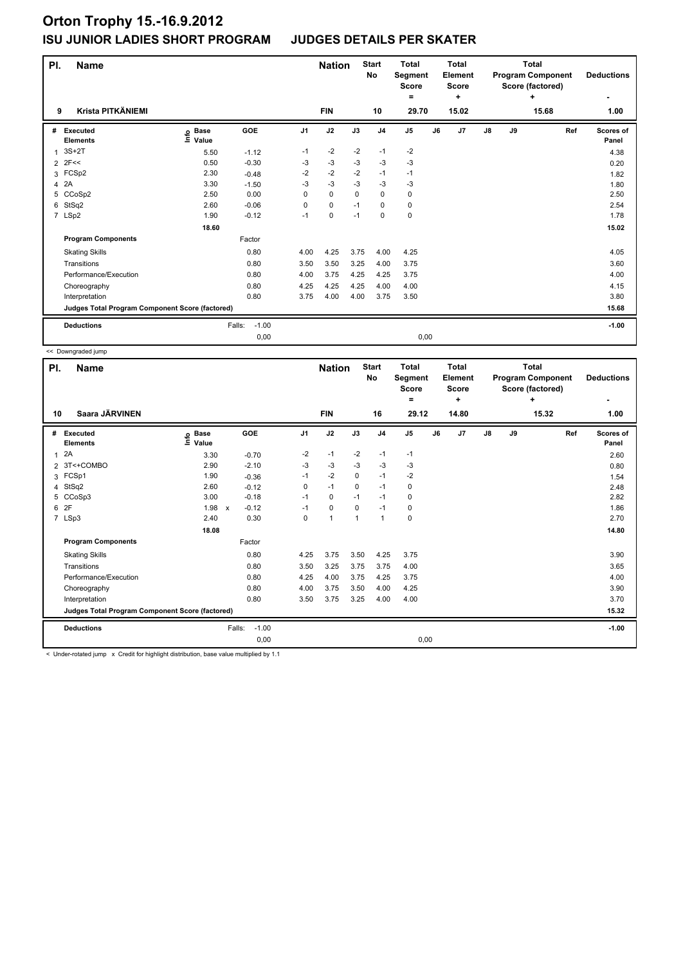| PI.            | <b>Name</b>                                     |                            |                   |                | <b>Nation</b> |      | <b>Start</b><br>No | <b>Total</b><br>Segment<br><b>Score</b><br>۰ |    | <b>Total</b><br><b>Element</b><br><b>Score</b><br>٠ |               |    | <b>Total</b><br><b>Program Component</b><br>Score (factored)<br>٠ | <b>Deductions</b>  |
|----------------|-------------------------------------------------|----------------------------|-------------------|----------------|---------------|------|--------------------|----------------------------------------------|----|-----------------------------------------------------|---------------|----|-------------------------------------------------------------------|--------------------|
| 9              | Krista PITKÄNIEMI                               |                            |                   |                | <b>FIN</b>    |      | 10                 | 29.70                                        |    | 15.02                                               |               |    | 15.68                                                             | 1.00               |
| #              | Executed<br><b>Elements</b>                     | e Base<br>E Value<br>Value | <b>GOE</b>        | J <sub>1</sub> | J2            | J3   | J <sub>4</sub>     | J <sub>5</sub>                               | J6 | J <sub>7</sub>                                      | $\mathsf{J}8$ | J9 | Ref                                                               | Scores of<br>Panel |
| 1              | $3S+2T$                                         | 5.50                       | $-1.12$           | $-1$           | $-2$          | $-2$ | $-1$               | $-2$                                         |    |                                                     |               |    |                                                                   | 4.38               |
| $\overline{2}$ | 2F<<                                            | 0.50                       | $-0.30$           | $-3$           | $-3$          | $-3$ | $-3$               | $-3$                                         |    |                                                     |               |    |                                                                   | 0.20               |
|                | 3 FCSp2                                         | 2.30                       | $-0.48$           | $-2$           | $-2$          | $-2$ | $-1$               | $-1$                                         |    |                                                     |               |    |                                                                   | 1.82               |
| 4              | 2A                                              | 3.30                       | $-1.50$           | -3             | $-3$          | $-3$ | $-3$               | $-3$                                         |    |                                                     |               |    |                                                                   | 1.80               |
| 5              | CCoSp2                                          | 2.50                       | 0.00              | 0              | $\mathbf 0$   | 0    | $\mathbf 0$        | 0                                            |    |                                                     |               |    |                                                                   | 2.50               |
| 6              | StSq2                                           | 2.60                       | $-0.06$           | 0              | $\mathbf 0$   | $-1$ | 0                  | 0                                            |    |                                                     |               |    |                                                                   | 2.54               |
|                | 7 LSp2                                          | 1.90                       | $-0.12$           | $-1$           | $\mathbf 0$   | $-1$ | $\mathbf 0$        | $\mathbf 0$                                  |    |                                                     |               |    |                                                                   | 1.78               |
|                |                                                 | 18.60                      |                   |                |               |      |                    |                                              |    |                                                     |               |    |                                                                   | 15.02              |
|                | <b>Program Components</b>                       |                            | Factor            |                |               |      |                    |                                              |    |                                                     |               |    |                                                                   |                    |
|                | <b>Skating Skills</b>                           |                            | 0.80              | 4.00           | 4.25          | 3.75 | 4.00               | 4.25                                         |    |                                                     |               |    |                                                                   | 4.05               |
|                | Transitions                                     |                            | 0.80              | 3.50           | 3.50          | 3.25 | 4.00               | 3.75                                         |    |                                                     |               |    |                                                                   | 3.60               |
|                | Performance/Execution                           |                            | 0.80              | 4.00           | 3.75          | 4.25 | 4.25               | 3.75                                         |    |                                                     |               |    |                                                                   | 4.00               |
|                | Choreography                                    |                            | 0.80              | 4.25           | 4.25          | 4.25 | 4.00               | 4.00                                         |    |                                                     |               |    |                                                                   | 4.15               |
|                | Interpretation                                  |                            | 0.80              | 3.75           | 4.00          | 4.00 | 3.75               | 3.50                                         |    |                                                     |               |    |                                                                   | 3.80               |
|                | Judges Total Program Component Score (factored) |                            |                   |                |               |      |                    |                                              |    |                                                     |               |    |                                                                   | 15.68              |
|                | <b>Deductions</b>                               |                            | Falls:<br>$-1.00$ |                |               |      |                    |                                              |    |                                                     |               |    |                                                                   | $-1.00$            |
|                |                                                 |                            | 0,00              |                |               |      |                    | 0,00                                         |    |                                                     |               |    |                                                                   |                    |

<< Downgraded jump

| PI. | <b>Name</b>                                     |                              |                         |                | <b>Nation</b>  |          | <b>Start</b><br>No | <b>Total</b><br>Segment<br>Score<br>۰ |    | <b>Total</b><br>Element<br><b>Score</b><br>÷ |               |    | <b>Total</b><br><b>Program Component</b><br>Score (factored)<br>$\ddot{}$ | <b>Deductions</b><br>٠ |
|-----|-------------------------------------------------|------------------------------|-------------------------|----------------|----------------|----------|--------------------|---------------------------------------|----|----------------------------------------------|---------------|----|---------------------------------------------------------------------------|------------------------|
| 10  | Saara JÄRVINEN                                  |                              |                         |                | <b>FIN</b>     |          | 16                 | 29.12                                 |    | 14.80                                        |               |    | 15.32                                                                     | 1.00                   |
| #   | Executed<br><b>Elements</b>                     | <b>Base</b><br>١nfo<br>Value | GOE                     | J <sub>1</sub> | J2             | J3       | J <sub>4</sub>     | J <sub>5</sub>                        | J6 | J7                                           | $\mathsf{J}8$ | J9 | Ref                                                                       | Scores of<br>Panel     |
| 1   | 2A                                              | 3.30                         | $-0.70$                 | $-2$           | $-1$           | $-2$     | $-1$               | $-1$                                  |    |                                              |               |    |                                                                           | 2.60                   |
|     | 2 3T<+COMBO                                     | 2.90                         | $-2.10$                 | -3             | $-3$           | -3       | $-3$               | -3                                    |    |                                              |               |    |                                                                           | 0.80                   |
|     | 3 FCSp1                                         | 1.90                         | $-0.36$                 | $-1$           | $-2$           | $\Omega$ | $-1$               | $-2$                                  |    |                                              |               |    |                                                                           | 1.54                   |
|     | 4 StSq2                                         | 2.60                         | $-0.12$                 | 0              | $-1$           | 0        | $-1$               | 0                                     |    |                                              |               |    |                                                                           | 2.48                   |
|     | 5 CCoSp3                                        | 3.00                         | $-0.18$                 | $-1$           | 0              | $-1$     | $-1$               | 0                                     |    |                                              |               |    |                                                                           | 2.82                   |
| 6   | 2F                                              | 1.98                         | $-0.12$<br>$\mathsf{x}$ | $-1$           | 0              | 0        | $-1$               | 0                                     |    |                                              |               |    |                                                                           | 1.86                   |
|     | 7 LSp3                                          | 2.40                         | 0.30                    | 0              | $\overline{1}$ | 1        | $\overline{1}$     | $\pmb{0}$                             |    |                                              |               |    |                                                                           | 2.70                   |
|     |                                                 | 18.08                        |                         |                |                |          |                    |                                       |    |                                              |               |    |                                                                           | 14.80                  |
|     | <b>Program Components</b>                       |                              | Factor                  |                |                |          |                    |                                       |    |                                              |               |    |                                                                           |                        |
|     | <b>Skating Skills</b>                           |                              | 0.80                    | 4.25           | 3.75           | 3.50     | 4.25               | 3.75                                  |    |                                              |               |    |                                                                           | 3.90                   |
|     | Transitions                                     |                              | 0.80                    | 3.50           | 3.25           | 3.75     | 3.75               | 4.00                                  |    |                                              |               |    |                                                                           | 3.65                   |
|     | Performance/Execution                           |                              | 0.80                    | 4.25           | 4.00           | 3.75     | 4.25               | 3.75                                  |    |                                              |               |    |                                                                           | 4.00                   |
|     | Choreography                                    |                              | 0.80                    | 4.00           | 3.75           | 3.50     | 4.00               | 4.25                                  |    |                                              |               |    |                                                                           | 3.90                   |
|     | Interpretation                                  |                              | 0.80                    | 3.50           | 3.75           | 3.25     | 4.00               | 4.00                                  |    |                                              |               |    |                                                                           | 3.70                   |
|     | Judges Total Program Component Score (factored) |                              |                         |                |                |          |                    |                                       |    |                                              |               |    |                                                                           | 15.32                  |
|     | <b>Deductions</b>                               |                              | $-1.00$<br>Falls:       |                |                |          |                    |                                       |    |                                              |               |    |                                                                           | $-1.00$                |
|     |                                                 |                              | 0,00                    |                |                |          |                    | 0,00                                  |    |                                              |               |    |                                                                           |                        |

< Under-rotated jump x Credit for highlight distribution, base value multiplied by 1.1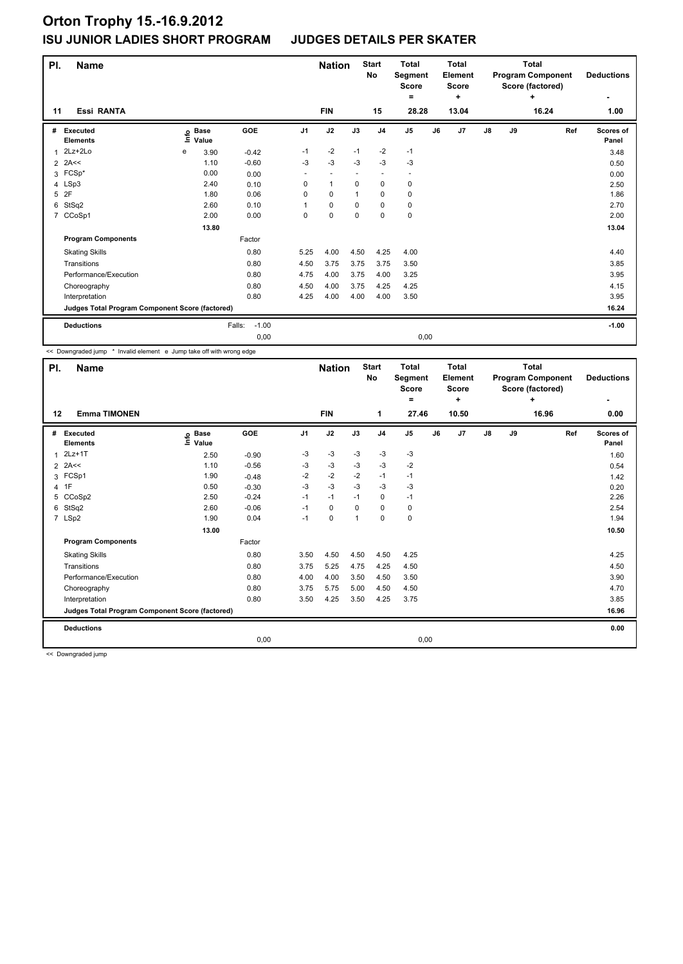| PI.                 | <b>Name</b>                                     |      |                      |                    |                | <b>Nation</b>            |                          | <b>Start</b><br>No       | <b>Total</b><br>Segment<br><b>Score</b><br>۰ |      | <b>Total</b><br>Element<br><b>Score</b><br>÷ |               |    | <b>Total</b><br><b>Program Component</b><br>Score (factored)<br>÷ | <b>Deductions</b>  |
|---------------------|-------------------------------------------------|------|----------------------|--------------------|----------------|--------------------------|--------------------------|--------------------------|----------------------------------------------|------|----------------------------------------------|---------------|----|-------------------------------------------------------------------|--------------------|
| 11                  | <b>Essi RANTA</b>                               |      |                      |                    |                | <b>FIN</b>               |                          | 15                       | 28.28                                        |      | 13.04                                        |               |    | 16.24                                                             | 1.00               |
| #                   | Executed<br><b>Elements</b>                     | lnfo | <b>Base</b><br>Value | GOE                | J <sub>1</sub> | J2                       | J3                       | J <sub>4</sub>           | J <sub>5</sub>                               | J6   | J7                                           | $\mathsf{J}8$ | J9 | Ref                                                               | Scores of<br>Panel |
| 1                   | $2Lz+2Lo$<br>2A<<                               | е    | 3.90<br>1.10         | $-0.42$<br>$-0.60$ | $-1$<br>$-3$   | $-2$<br>$-3$             | $-1$<br>$-3$             | $-2$<br>$-3$             | $-1$<br>$-3$                                 |      |                                              |               |    |                                                                   | 3.48               |
| $\overline{2}$<br>3 | $FCSp*$                                         |      | 0.00                 | 0.00               | ٠              | $\overline{\phantom{a}}$ | $\overline{\phantom{a}}$ | $\overline{\phantom{a}}$ | $\overline{\phantom{a}}$                     |      |                                              |               |    |                                                                   | 0.50<br>0.00       |
|                     | 4 LSp3                                          |      | 2.40                 | 0.10               | $\Omega$       | $\mathbf{1}$             | $\Omega$                 | $\mathbf 0$              | 0                                            |      |                                              |               |    |                                                                   | 2.50               |
| 5                   | 2F                                              |      | 1.80                 | 0.06               | 0              | $\mathbf 0$              |                          | 0                        | $\pmb{0}$                                    |      |                                              |               |    |                                                                   | 1.86               |
| 6                   | StSq2                                           |      | 2.60                 | 0.10               | 1              | $\mathbf 0$              | $\Omega$                 | $\mathbf 0$              | 0                                            |      |                                              |               |    |                                                                   | 2.70               |
| $\overline{7}$      | CCoSp1                                          |      | 2.00                 | 0.00               | 0              | $\mathbf 0$              | $\mathbf 0$              | $\mathbf 0$              | $\mathbf 0$                                  |      |                                              |               |    |                                                                   | 2.00               |
|                     |                                                 |      | 13.80                |                    |                |                          |                          |                          |                                              |      |                                              |               |    |                                                                   | 13.04              |
|                     | <b>Program Components</b>                       |      |                      | Factor             |                |                          |                          |                          |                                              |      |                                              |               |    |                                                                   |                    |
|                     | <b>Skating Skills</b>                           |      |                      | 0.80               | 5.25           | 4.00                     | 4.50                     | 4.25                     | 4.00                                         |      |                                              |               |    |                                                                   | 4.40               |
|                     | Transitions                                     |      |                      | 0.80               | 4.50           | 3.75                     | 3.75                     | 3.75                     | 3.50                                         |      |                                              |               |    |                                                                   | 3.85               |
|                     | Performance/Execution                           |      |                      | 0.80               | 4.75           | 4.00                     | 3.75                     | 4.00                     | 3.25                                         |      |                                              |               |    |                                                                   | 3.95               |
|                     | Choreography                                    |      |                      | 0.80               | 4.50           | 4.00                     | 3.75                     | 4.25                     | 4.25                                         |      |                                              |               |    |                                                                   | 4.15               |
|                     | Interpretation                                  |      |                      | 0.80               | 4.25           | 4.00                     | 4.00                     | 4.00                     | 3.50                                         |      |                                              |               |    |                                                                   | 3.95               |
|                     | Judges Total Program Component Score (factored) |      |                      |                    |                |                          |                          |                          |                                              |      |                                              |               |    |                                                                   | 16.24              |
|                     | <b>Deductions</b>                               |      |                      | $-1.00$<br>Falls:  |                |                          |                          |                          |                                              |      |                                              |               |    |                                                                   | $-1.00$            |
|                     |                                                 |      |                      | 0,00               |                |                          |                          |                          |                                              | 0,00 |                                              |               |    |                                                                   |                    |

<< Downgraded jump \* Invalid element e Jump take off with wrong edge

| PI. | <b>Name</b>                                     |                   |         |                | <b>Nation</b> |                | <b>Start</b><br>No | <b>Total</b><br>Segment<br><b>Score</b> |    | <b>Total</b><br>Element<br><b>Score</b> |               |    | <b>Total</b><br><b>Program Component</b><br>Score (factored) | <b>Deductions</b>         |
|-----|-------------------------------------------------|-------------------|---------|----------------|---------------|----------------|--------------------|-----------------------------------------|----|-----------------------------------------|---------------|----|--------------------------------------------------------------|---------------------------|
|     |                                                 |                   |         |                |               |                |                    | $\equiv$                                |    | ٠                                       |               |    | ÷                                                            | ٠                         |
| 12  | <b>Emma TIMONEN</b>                             |                   |         |                | <b>FIN</b>    |                | 1                  | 27.46                                   |    | 10.50                                   |               |    | 16.96                                                        | 0.00                      |
| #   | <b>Executed</b><br><b>Elements</b>              | e Base<br>⊑ Value | GOE     | J <sub>1</sub> | J2            | J3             | J <sub>4</sub>     | J <sub>5</sub>                          | J6 | J7                                      | $\mathsf{J}8$ | J9 | Ref                                                          | <b>Scores of</b><br>Panel |
|     | $2Lz+1T$                                        | 2.50              | $-0.90$ | $-3$           | -3            | $-3$           | $-3$               | $-3$                                    |    |                                         |               |    |                                                              | 1.60                      |
|     | $2$ 2A<<                                        | 1.10              | $-0.56$ | -3             | -3            | $-3$           | $-3$               | $-2$                                    |    |                                         |               |    |                                                              | 0.54                      |
|     | 3 FCSp1                                         | 1.90              | $-0.48$ | $-2$           | $-2$          | $-2$           | $-1$               | $-1$                                    |    |                                         |               |    |                                                              | 1.42                      |
|     | 4 1F                                            | 0.50              | $-0.30$ | $-3$           | -3            | $-3$           | $-3$               | $-3$                                    |    |                                         |               |    |                                                              | 0.20                      |
|     | 5 CCoSp2                                        | 2.50              | $-0.24$ | $-1$           | $-1$          | $-1$           | 0                  | $-1$                                    |    |                                         |               |    |                                                              | 2.26                      |
| 6   | StSq2                                           | 2.60              | $-0.06$ | $-1$           | 0             | 0              | 0                  | 0                                       |    |                                         |               |    |                                                              | 2.54                      |
|     | 7 LSp2                                          | 1.90              | 0.04    | $-1$           | $\mathbf 0$   | $\overline{1}$ | $\mathbf 0$        | $\pmb{0}$                               |    |                                         |               |    |                                                              | 1.94                      |
|     |                                                 | 13.00             |         |                |               |                |                    |                                         |    |                                         |               |    |                                                              | 10.50                     |
|     | <b>Program Components</b>                       |                   | Factor  |                |               |                |                    |                                         |    |                                         |               |    |                                                              |                           |
|     | <b>Skating Skills</b>                           |                   | 0.80    | 3.50           | 4.50          | 4.50           | 4.50               | 4.25                                    |    |                                         |               |    |                                                              | 4.25                      |
|     | Transitions                                     |                   | 0.80    | 3.75           | 5.25          | 4.75           | 4.25               | 4.50                                    |    |                                         |               |    |                                                              | 4.50                      |
|     | Performance/Execution                           |                   | 0.80    | 4.00           | 4.00          | 3.50           | 4.50               | 3.50                                    |    |                                         |               |    |                                                              | 3.90                      |
|     | Choreography                                    |                   | 0.80    | 3.75           | 5.75          | 5.00           | 4.50               | 4.50                                    |    |                                         |               |    |                                                              | 4.70                      |
|     | Interpretation                                  |                   | 0.80    | 3.50           | 4.25          | 3.50           | 4.25               | 3.75                                    |    |                                         |               |    |                                                              | 3.85                      |
|     | Judges Total Program Component Score (factored) |                   |         |                |               |                |                    |                                         |    |                                         |               |    |                                                              | 16.96                     |
|     | <b>Deductions</b>                               |                   |         |                |               |                |                    |                                         |    |                                         |               |    |                                                              | 0.00                      |
|     |                                                 |                   | 0,00    |                |               |                |                    | 0,00                                    |    |                                         |               |    |                                                              |                           |

<< Downgraded jump